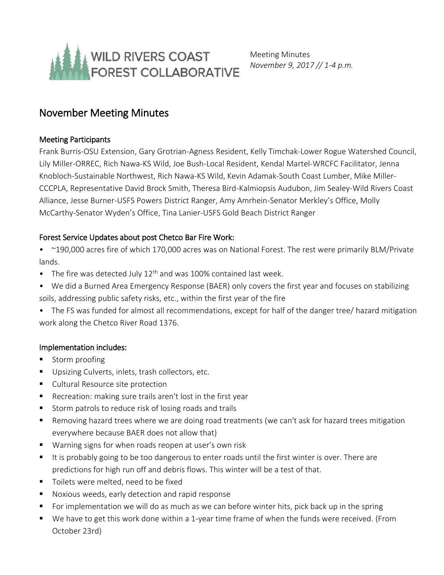

Meeting Minutes *November 9, 2017 // 1-4 p.m.*

# November Meeting Minutes

### Meeting Participants

Frank Burris-OSU Extension, Gary Grotrian-Agness Resident, Kelly Timchak-Lower Rogue Watershed Council, Lily Miller-ORREC, Rich Nawa-KS Wild, Joe Bush-Local Resident, Kendal Martel-WRCFC Facilitator, Jenna Knobloch-Sustainable Northwest, Rich Nawa-KS Wild, Kevin Adamak-South Coast Lumber, Mike Miller-CCCPLA, Representative David Brock Smith, Theresa Bird-Kalmiopsis Audubon, Jim Sealey-Wild Rivers Coast Alliance, Jesse Burner-USFS Powers District Ranger, Amy Amrhein-Senator Merkley's Office, Molly McCarthy-Senator Wyden's Office, Tina Lanier-USFS Gold Beach District Ranger

### Forest Service Updates about post Chetco Bar Fire Work:

- ~190,000 acres fire of which 170,000 acres was on National Forest. The rest were primarily BLM/Private lands.
- The fire was detected July  $12<sup>th</sup>$  and was 100% contained last week.
- We did a Burned Area Emergency Response (BAER) only covers the first year and focuses on stabilizing soils, addressing public safety risks, etc., within the first year of the fire
- The FS was funded for almost all recommendations, except for half of the danger tree/ hazard mitigation work along the Chetco River Road 1376.

### Implementation includes:

- Storm proofing
- **Upsizing Culverts, inlets, trash collectors, etc.**
- **Cultural Resource site protection**
- Recreation: making sure trails aren't lost in the first year
- Storm patrols to reduce risk of losing roads and trails
- Removing hazard trees where we are doing road treatments (we can't ask for hazard trees mitigation everywhere because BAER does not allow that)
- Warning signs for when roads reopen at user's own risk
- It is probably going to be too dangerous to enter roads until the first winter is over. There are predictions for high run off and debris flows. This winter will be a test of that.
- Toilets were melted, need to be fixed
- Noxious weeds, early detection and rapid response
- **F** For implementation we will do as much as we can before winter hits, pick back up in the spring
- We have to get this work done within a 1-year time frame of when the funds were received. (From October 23rd)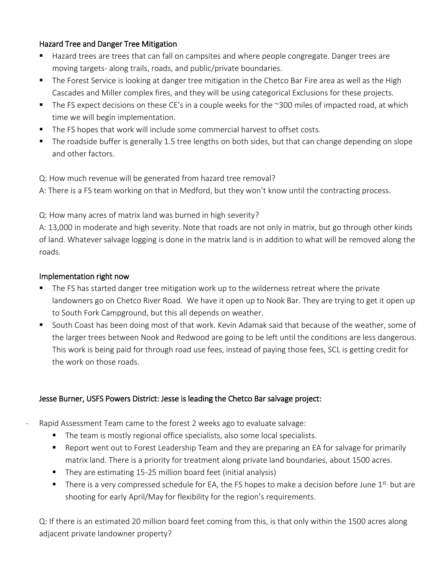### Hazard Tree and Danger Tree Mitigation

- Hazard trees are trees that can fall on campsites and where people congregate. Danger trees are moving targets- along trails, roads, and public/private boundaries.
- **The Forest Service is looking at danger tree mitigation in the Chetco Bar Fire area as well as the High** Cascades and Miller complex fires, and they will be using categorical Exclusions for these projects.
- The FS expect decisions on these CE's in a couple weeks for the  $\sim$ 300 miles of impacted road, at which time we will begin implementation.
- The FS hopes that work will include some commercial harvest to offset costs.
- The roadside buffer is generally 1.5 tree lengths on both sides, but that can change depending on slope and other factors.

Q: How much revenue will be generated from hazard tree removal?

A: There is a FS team working on that in Medford, but they won't know until the contracting process.

Q: How many acres of matrix land was burned in high severity?

A: 13,000 in moderate and high severity. Note that roads are not only in matrix, but go through other kinds of land. Whatever salvage logging is done in the matrix land is in addition to what will be removed along the roads.

### Implementation right now

- The FS has started danger tree mitigation work up to the wilderness retreat where the private landowners go on Chetco River Road. We have it open up to Nook Bar. They are trying to get it open up to South Fork Campground, but this all depends on weather.
- South Coast has been doing most of that work. Kevin Adamak said that because of the weather, some of the larger trees between Nook and Redwood are going to be left until the conditions are less dangerous. This work is being paid for through road use fees, instead of paying those fees, SCL is getting credit for the work on those roads.

## Jesse Burner, USFS Powers District: Jesse is leading the Chetco Bar salvage project:

Rapid Assessment Team came to the forest 2 weeks ago to evaluate salvage:

- The team is mostly regional office specialists, also some local specialists.
- Report went out to Forest Leadership Team and they are preparing an EA for salvage for primarily matrix land. There is a priority for treatment along private land boundaries, about 1500 acres.
- They are estimating 15-25 million board feet (initial analysis)
- There is a very compressed schedule for EA, the FS hopes to make a decision before June  $1^{st}$  but are shooting for early April/May for flexibility for the region's requirements.

Q: If there is an estimated 20 million board feet coming from this, is that only within the 1500 acres along adjacent private landowner property?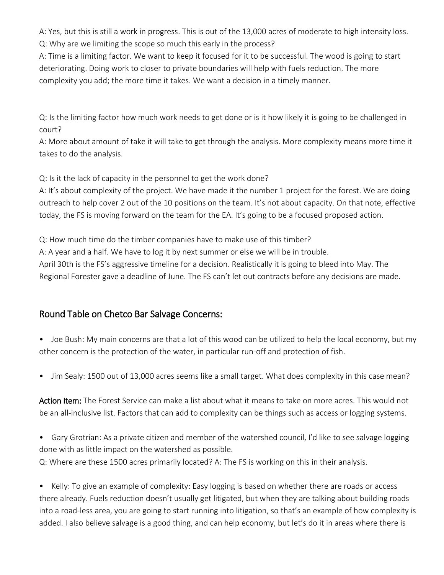A: Yes, but this is still a work in progress. This is out of the 13,000 acres of moderate to high intensity loss. Q: Why are we limiting the scope so much this early in the process?

A: Time is a limiting factor. We want to keep it focused for it to be successful. The wood is going to start deteriorating. Doing work to closer to private boundaries will help with fuels reduction. The more complexity you add; the more time it takes. We want a decision in a timely manner.

Q: Is the limiting factor how much work needs to get done or is it how likely it is going to be challenged in court?

A: More about amount of take it will take to get through the analysis. More complexity means more time it takes to do the analysis.

Q: Is it the lack of capacity in the personnel to get the work done?

A: It's about complexity of the project. We have made it the number 1 project for the forest. We are doing outreach to help cover 2 out of the 10 positions on the team. It's not about capacity. On that note, effective today, the FS is moving forward on the team for the EA. It's going to be a focused proposed action.

Q: How much time do the timber companies have to make use of this timber?

A: A year and a half. We have to log it by next summer or else we will be in trouble.

April 30th is the FS's aggressive timeline for a decision. Realistically it is going to bleed into May. The Regional Forester gave a deadline of June. The FS can't let out contracts before any decisions are made.

## Round Table on Chetco Bar Salvage Concerns:

- Joe Bush: My main concerns are that a lot of this wood can be utilized to help the local economy, but my other concern is the protection of the water, in particular run-off and protection of fish.
- Jim Sealy: 1500 out of 13,000 acres seems like a small target. What does complexity in this case mean?

Action Item: The Forest Service can make a list about what it means to take on more acres. This would not be an all-inclusive list. Factors that can add to complexity can be things such as access or logging systems.

• Gary Grotrian: As a private citizen and member of the watershed council, I'd like to see salvage logging done with as little impact on the watershed as possible. Q: Where are these 1500 acres primarily located? A: The FS is working on this in their analysis.

• Kelly: To give an example of complexity: Easy logging is based on whether there are roads or access there already. Fuels reduction doesn't usually get litigated, but when they are talking about building roads into a road-less area, you are going to start running into litigation, so that's an example of how complexity is added. I also believe salvage is a good thing, and can help economy, but let's do it in areas where there is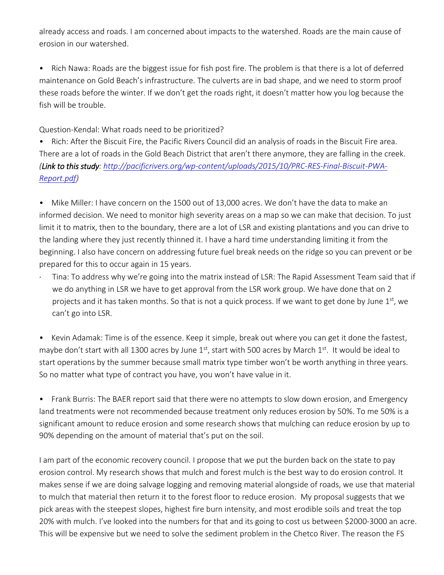already access and roads. I am concerned about impacts to the watershed. Roads are the main cause of erosion in our watershed.

• Rich Nawa: Roads are the biggest issue for fish post fire. The problem is that there is a lot of deferred maintenance on Gold Beach's infrastructure. The culverts are in bad shape, and we need to storm proof these roads before the winter. If we don't get the roads right, it doesn't matter how you log because the fish will be trouble.

Question-Kendal: What roads need to be prioritized?

• Rich: After the Biscuit Fire, the Pacific Rivers Council did an analysis of roads in the Biscuit Fire area. There are a lot of roads in the Gold Beach District that aren't there anymore, they are falling in the creek. *(Link to this study: [http://pacificrivers.org/wp-content/uploads/2015/10/PRC-RES-Final-Biscuit-PWA-](http://pacificrivers.org/wp-content/uploads/2015/10/PRC-RES-Final-Biscuit-PWA-Report.pdf)[Report.pdf\)](http://pacificrivers.org/wp-content/uploads/2015/10/PRC-RES-Final-Biscuit-PWA-Report.pdf)*

• Mike Miller: I have concern on the 1500 out of 13,000 acres. We don't have the data to make an informed decision. We need to monitor high severity areas on a map so we can make that decision. To just limit it to matrix, then to the boundary, there are a lot of LSR and existing plantations and you can drive to the landing where they just recently thinned it. I have a hard time understanding limiting it from the beginning. I also have concern on addressing future fuel break needs on the ridge so you can prevent or be prepared for this to occur again in 15 years.

 Tina: To address why we're going into the matrix instead of LSR: The Rapid Assessment Team said that if we do anything in LSR we have to get approval from the LSR work group. We have done that on 2 projects and it has taken months. So that is not a quick process. If we want to get done by June  $1<sup>st</sup>$ , we can't go into LSR.

• Kevin Adamak: Time is of the essence. Keep it simple, break out where you can get it done the fastest, maybe don't start with all 1300 acres by June  $1<sup>st</sup>$ , start with 500 acres by March  $1<sup>st</sup>$ . It would be ideal to start operations by the summer because small matrix type timber won't be worth anything in three years. So no matter what type of contract you have, you won't have value in it.

• Frank Burris: The BAER report said that there were no attempts to slow down erosion, and Emergency land treatments were not recommended because treatment only reduces erosion by 50%. To me 50% is a significant amount to reduce erosion and some research shows that mulching can reduce erosion by up to 90% depending on the amount of material that's put on the soil.

I am part of the economic recovery council. I propose that we put the burden back on the state to pay erosion control. My research shows that mulch and forest mulch is the best way to do erosion control. It makes sense if we are doing salvage logging and removing material alongside of roads, we use that material to mulch that material then return it to the forest floor to reduce erosion. My proposal suggests that we pick areas with the steepest slopes, highest fire burn intensity, and most erodible soils and treat the top 20% with mulch. I've looked into the numbers for that and its going to cost us between \$2000-3000 an acre. This will be expensive but we need to solve the sediment problem in the Chetco River. The reason the FS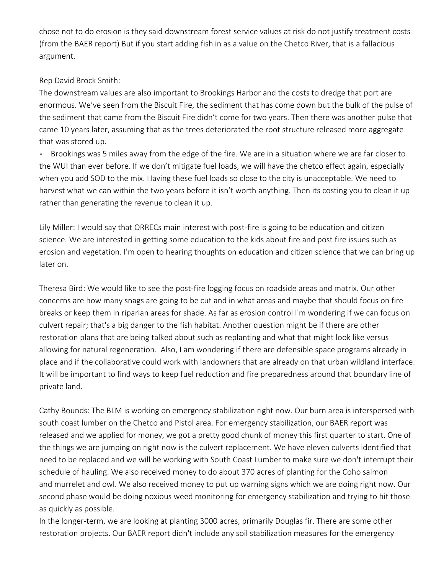chose not to do erosion is they said downstream forest service values at risk do not justify treatment costs (from the BAER report) But if you start adding fish in as a value on the Chetco River, that is a fallacious argument.

### Rep David Brock Smith:

The downstream values are also important to Brookings Harbor and the costs to dredge that port are enormous. We've seen from the Biscuit Fire, the sediment that has come down but the bulk of the pulse of the sediment that came from the Biscuit Fire didn't come for two years. Then there was another pulse that came 10 years later, assuming that as the trees deteriorated the root structure released more aggregate that was stored up.

◦ Brookings was 5 miles away from the edge of the fire. We are in a situation where we are far closer to the WUI than ever before. If we don't mitigate fuel loads, we will have the chetco effect again, especially when you add SOD to the mix. Having these fuel loads so close to the city is unacceptable. We need to harvest what we can within the two years before it isn't worth anything. Then its costing you to clean it up rather than generating the revenue to clean it up.

Lily Miller: I would say that ORRECs main interest with post-fire is going to be education and citizen science. We are interested in getting some education to the kids about fire and post fire issues such as erosion and vegetation. I'm open to hearing thoughts on education and citizen science that we can bring up later on.

Theresa Bird: We would like to see the post-fire logging focus on roadside areas and matrix. Our other concerns are how many snags are going to be cut and in what areas and maybe that should focus on fire breaks or keep them in riparian areas for shade. As far as erosion control I'm wondering if we can focus on culvert repair; that's a big danger to the fish habitat. Another question might be if there are other restoration plans that are being talked about such as replanting and what that might look like versus allowing for natural regeneration. Also, I am wondering if there are defensible space programs already in place and if the collaborative could work with landowners that are already on that urban wildland interface. It will be important to find ways to keep fuel reduction and fire preparedness around that boundary line of private land.

Cathy Bounds: The BLM is working on emergency stabilization right now. Our burn area is interspersed with south coast lumber on the Chetco and Pistol area. For emergency stabilization, our BAER report was released and we applied for money, we got a pretty good chunk of money this first quarter to start. One of the things we are jumping on right now is the culvert replacement. We have eleven culverts identified that need to be replaced and we will be working with South Coast Lumber to make sure we don't interrupt their schedule of hauling. We also received money to do about 370 acres of planting for the Coho salmon and murrelet and owl. We also received money to put up warning signs which we are doing right now. Our second phase would be doing noxious weed monitoring for emergency stabilization and trying to hit those as quickly as possible.

In the longer-term, we are looking at planting 3000 acres, primarily Douglas fir. There are some other restoration projects. Our BAER report didn't include any soil stabilization measures for the emergency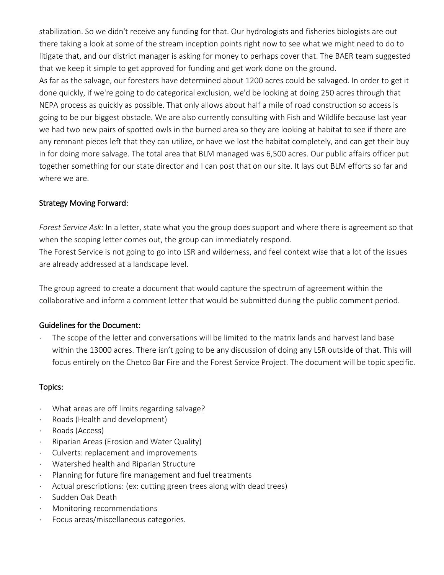stabilization. So we didn't receive any funding for that. Our hydrologists and fisheries biologists are out there taking a look at some of the stream inception points right now to see what we might need to do to litigate that, and our district manager is asking for money to perhaps cover that. The BAER team suggested that we keep it simple to get approved for funding and get work done on the ground.

As far as the salvage, our foresters have determined about 1200 acres could be salvaged. In order to get it done quickly, if we're going to do categorical exclusion, we'd be looking at doing 250 acres through that NEPA process as quickly as possible. That only allows about half a mile of road construction so access is going to be our biggest obstacle. We are also currently consulting with Fish and Wildlife because last year we had two new pairs of spotted owls in the burned area so they are looking at habitat to see if there are any remnant pieces left that they can utilize, or have we lost the habitat completely, and can get their buy in for doing more salvage. The total area that BLM managed was 6,500 acres. Our public affairs officer put together something for our state director and I can post that on our site. It lays out BLM efforts so far and where we are.

### Strategy Moving Forward:

*Forest Service Ask:* In a letter, state what you the group does support and where there is agreement so that when the scoping letter comes out, the group can immediately respond.

The Forest Service is not going to go into LSR and wilderness, and feel context wise that a lot of the issues are already addressed at a landscape level.

The group agreed to create a document that would capture the spectrum of agreement within the collaborative and inform a comment letter that would be submitted during the public comment period.

### Guidelines for the Document:

 The scope of the letter and conversations will be limited to the matrix lands and harvest land base within the 13000 acres. There isn't going to be any discussion of doing any LSR outside of that. This will focus entirely on the Chetco Bar Fire and the Forest Service Project. The document will be topic specific.

### Topics:

- What areas are off limits regarding salvage?
- Roads (Health and development)
- Roads (Access)
- Riparian Areas (Erosion and Water Quality)
- Culverts: replacement and improvements
- Watershed health and Riparian Structure
- Planning for future fire management and fuel treatments
- Actual prescriptions: (ex: cutting green trees along with dead trees)
- Sudden Oak Death
- Monitoring recommendations
- Focus areas/miscellaneous categories.